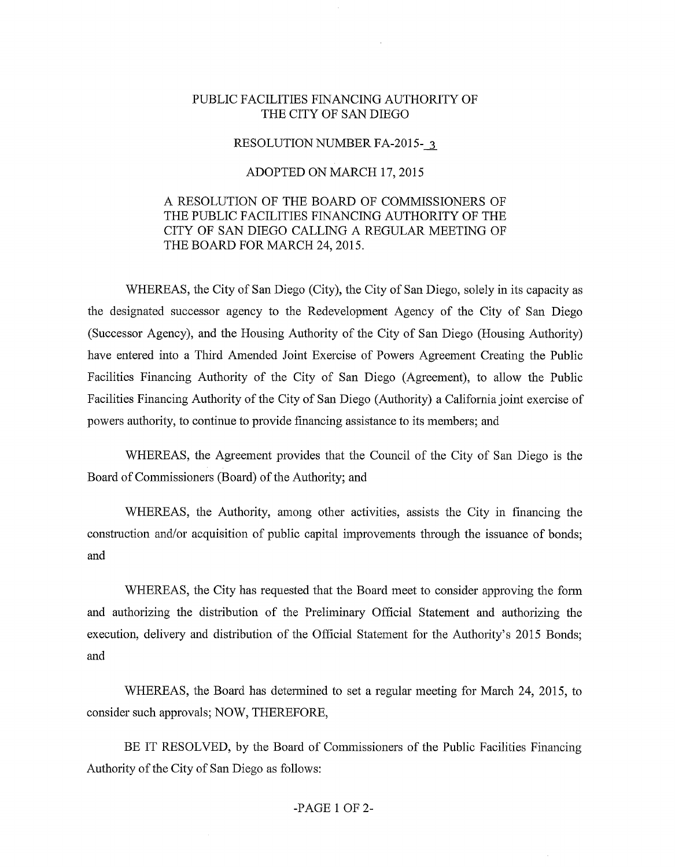## PUBLIC FACILITIES FINANCING AUTHORITY OF THE CITY OF SAN DIEGO

## RESOLUTION NUMBER FA-2015- 3

## ADOPTED ON MARCH 17, 2015

## A RESOLUTION OF THE BOARD OF COMMISSIONERS OF THE PUBLIC FACILITIES FINANCING AUTHORITY OF THE CITY OF SAN DIEGO CALLING A REGULAR MEETING OF THE BOARD FOR MARCH 24, 2015.

WHEREAS, the City of San Diego (City), the City of San Diego, solely in its capacity as the designated successor agency to the Redevelopment Agency of the City of San Diego (Successor Agency), and the Housing Authority of the City of San Diego (Housing Authority) have entered into a Third Amended Joint Exercise of Powers Agreement Creating the Public Facilities Financing Authority of the City of San Diego (Agreement), to allow the Public Facilities Financing Authority of the City of San Diego (Authority) a California joint exercise of powers authority, to continue to provide financing assistance to its members; and

WHEREAS, the Agreement provides that the Council of the City of San Diego is the Board of Commissioners (Board) of the Authority; and

WHEREAS, the Authority, among other activities, assists the City in financing the constmction and/or acquisition of public capital improvements through the issuance of bonds; and

WHEREAS, the City has requested that the Board meet to consider approving the fonn and authorizing the distribution of the Preliminary Official Statement and authorizing the execution, delivery and distribution of the Official Statement for the Authority's 2015 Bonds; and

WHEREAS, the Board has determined to set a regular meeting for March 24, 2015, to consider such approvals; NOW, THEREFORE,

BE IT RESOLVED, by the Board of Commissioners of the Public Facilities Financing Authority of the City of San Diego as follows: